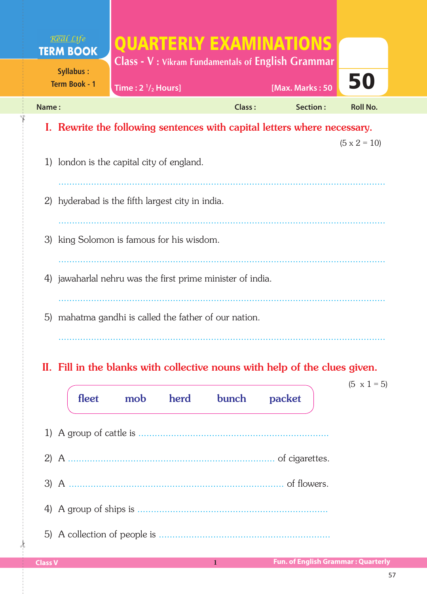| Real Life<br><b>TERM BOOK</b>            |                                                                          |                 | <b>OUARTERLY EXAMINATIONS</b><br><b>Class - V: Vikram Fundamentals of English Grammar</b> |                     |
|------------------------------------------|--------------------------------------------------------------------------|-----------------|-------------------------------------------------------------------------------------------|---------------------|
| <b>Syllabus:</b><br><b>Term Book - 1</b> | Time: $2 \frac{1}{2}$ Hours]                                             | [Max. Marks: 50 | 50                                                                                        |                     |
| Name:                                    |                                                                          | Class:          | Section:                                                                                  | <b>Roll No.</b>     |
|                                          | I. Rewrite the following sentences with capital letters where necessary. |                 |                                                                                           |                     |
|                                          |                                                                          |                 |                                                                                           | $(5 \times 2 = 10)$ |
|                                          | 1) london is the capital city of england.                                |                 |                                                                                           |                     |
|                                          |                                                                          |                 |                                                                                           |                     |
| 2)                                       | hyderabad is the fifth largest city in india.                            |                 |                                                                                           |                     |
|                                          |                                                                          |                 |                                                                                           |                     |
|                                          | 3) king Solomon is famous for his wisdom.                                |                 |                                                                                           |                     |
|                                          |                                                                          |                 |                                                                                           |                     |
|                                          | 4) jawaharlal nehru was the first prime minister of india.               |                 |                                                                                           |                     |
|                                          |                                                                          |                 |                                                                                           |                     |
| 5)                                       | mahatma gandhi is called the father of our nation.                       |                 |                                                                                           |                     |
|                                          |                                                                          |                 |                                                                                           |                     |
|                                          |                                                                          |                 |                                                                                           |                     |

## II. Fill in the blanks with collective nouns with help of the clues given.

| fleet | mob herd | bunch | packet         | $(5 \times 1 = 5)$ |
|-------|----------|-------|----------------|--------------------|
|       |          |       |                |                    |
|       |          |       | of cigarettes. |                    |
|       |          |       |                |                    |
|       |          |       |                |                    |
|       |          |       |                |                    |

 $\frac{1}{2}$ 

✁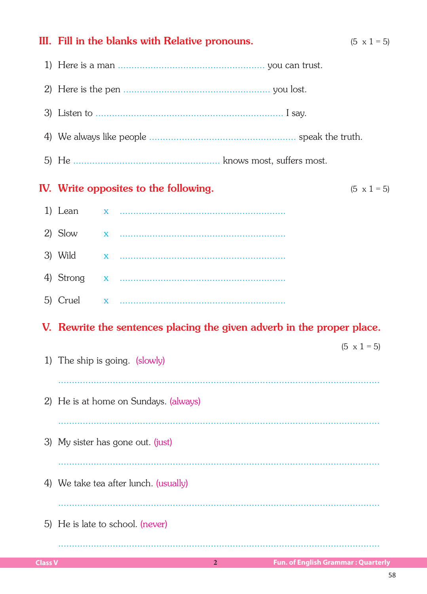## IV. Write opposites to the following.  $(5 \times 1 = 5)$ 1) Lean  $\overline{\mathbf{x}}$ 2) Slow  $\overline{\mathbf{x}}$ 3) Wild 4) Strong  $\mathbf x$ 5) Cruel  $\overline{\mathbf{x}}$ V. Rewrite the sentences placing the given adverb in the proper place.  $(5 \times 1 = 5)$ 1) The ship is going. (slowly) 2) He is at home on Sundays. (always) 3) My sister has gone out. (just) 4) We take tea after lunch. (usually) 5) He is late to school. (never)

 $2<sup>1</sup>$ 

III. Fill in the blanks with Relative pronouns.

 $(5 \times 1 = 5)$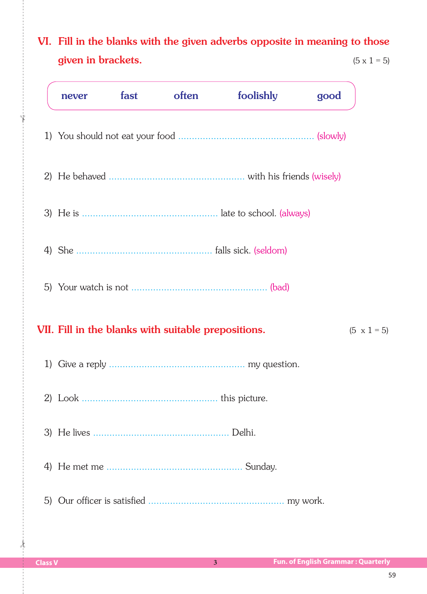## VI. Fill in the blanks with the given adverbs opposite in meaning to those given in brackets.  $(5 \times 1 = 5)$

|    | never | fast | often                                               | foolishly | good |                    |
|----|-------|------|-----------------------------------------------------|-----------|------|--------------------|
|    |       |      |                                                     |           |      |                    |
|    |       |      |                                                     |           |      |                    |
|    |       |      |                                                     |           |      |                    |
|    |       |      |                                                     |           |      |                    |
|    |       |      |                                                     |           |      |                    |
|    |       |      | VII. Fill in the blanks with suitable prepositions. |           |      | $(5 \times 1 = 5)$ |
|    |       |      |                                                     |           |      |                    |
|    |       |      |                                                     |           |      |                    |
|    |       |      |                                                     |           |      |                    |
| 4) |       |      |                                                     |           |      |                    |
|    |       |      |                                                     |           |      |                    |

 $\frac{1}{2}$ 

✁